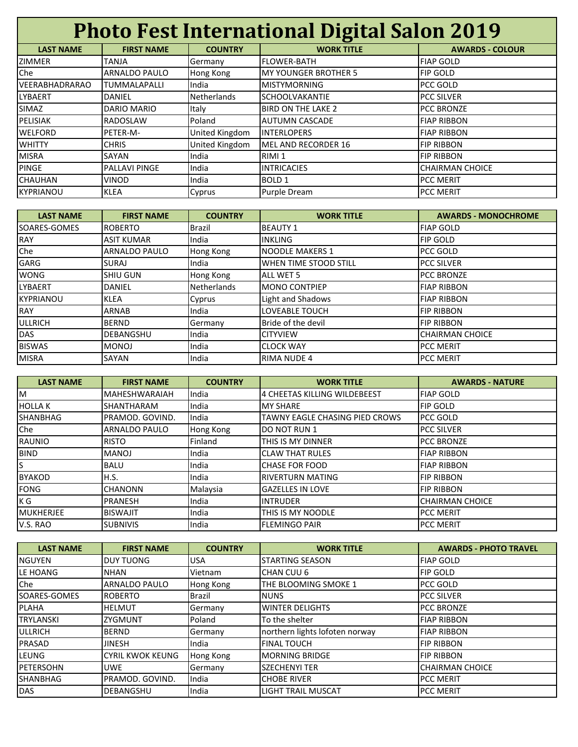| <b>Photo Fest International Digital Salon 2019</b> |                      |                    |                              |                        |
|----------------------------------------------------|----------------------|--------------------|------------------------------|------------------------|
| <b>LAST NAME</b>                                   | <b>FIRST NAME</b>    | <b>COUNTRY</b>     | <b>WORK TITLE</b>            | <b>AWARDS - COLOUR</b> |
| <b>ZIMMER</b>                                      | <b>TANJA</b>         | Germany            | <b>FLOWER-BATH</b>           | <b>FIAP GOLD</b>       |
| Che                                                | ARNALDO PAULO        | Hong Kong          | <b>IMY YOUNGER BROTHER 5</b> | <b>FIP GOLD</b>        |
| <b>VEERABHADRARAO</b>                              | <b>TUMMALAPALLI</b>  | India              | <b>MISTYMORNING</b>          | PCC GOLD               |
| <b>LYBAERT</b>                                     | <b>DANIEL</b>        | <b>Netherlands</b> | <b>SCHOOLVAKANTIE</b>        | <b>PCC SILVER</b>      |
| SIMAZ                                              | <b>DARIO MARIO</b>   | Italy              | <b>BIRD ON THE LAKE 2</b>    | <b>PCC BRONZE</b>      |
| PELISIAK                                           | <b>RADOSLAW</b>      | Poland             | <b>AUTUMN CASCADE</b>        | <b>FIAP RIBBON</b>     |
| <b>WELFORD</b>                                     | PETER-M-             | United Kingdom     | <b>INTERLOPERS</b>           | <b>FIAP RIBBON</b>     |
| <b>WHITTY</b>                                      | <b>CHRIS</b>         | United Kingdom     | MEL AND RECORDER 16          | <b>FIP RIBBON</b>      |
| <b>MISRA</b>                                       | SAYAN                | India              | RIMI 1                       | <b>FIP RIBBON</b>      |
| <b>PINGE</b>                                       | <b>PALLAVI PINGE</b> | India              | <b>INTRICACIES</b>           | <b>CHAIRMAN CHOICE</b> |
| <b>CHAUHAN</b>                                     | VINOD                | India              | <b>BOLD 1</b>                | <b>PCC MERIT</b>       |
| <b>KYPRIANOU</b>                                   | <b>KLEA</b>          | Cyprus             | Purple Dream                 | <b>PCC MERIT</b>       |

| <b>LAST NAME</b>     | <b>FIRST NAME</b>    | <b>COUNTRY</b>     | <b>WORK TITLE</b>            | <b>AWARDS - MONOCHROME</b> |
|----------------------|----------------------|--------------------|------------------------------|----------------------------|
| <b>ISOARES-GOMES</b> | <b>ROBERTO</b>       | Brazil             | <b>BEAUTY 1</b>              | <b>FIAP GOLD</b>           |
| <b>RAY</b>           | <b>ASIT KUMAR</b>    | India              | <b>INKLING</b>               | <b>FIP GOLD</b>            |
| Che                  | <b>ARNALDO PAULO</b> | Hong Kong          | NOODLE MAKERS 1              | PCC GOLD                   |
| GARG                 | SURAJ                | India              | <b>WHEN TIME STOOD STILL</b> | <b>PCC SILVER</b>          |
| <b>WONG</b>          | <b>SHIU GUN</b>      | Hong Kong          | <b>ALL WET 5</b>             | <b>PCC BRONZE</b>          |
| <b>LYBAERT</b>       | DANIEL               | <b>Netherlands</b> | <b>MONO CONTPIEP</b>         | <b>FIAP RIBBON</b>         |
| <b>KYPRIANOU</b>     | <b>KLEA</b>          | Cyprus             | Light and Shadows            | <b>FIAP RIBBON</b>         |
| <b>RAY</b>           | <b>ARNAB</b>         | India              | <b>LOVEABLE TOUCH</b>        | <b>FIP RIBBON</b>          |
| <b>ULLRICH</b>       | <b>BERND</b>         | Germany            | Bride of the devil           | <b>FIP RIBBON</b>          |
| DAS                  | DEBANGSHU            | India              | <b>CITYVIEW</b>              | <b>CHAIRMAN CHOICE</b>     |
| <b>BISWAS</b>        | <b>MONOJ</b>         | India              | <b>CLOCK WAY</b>             | <b>PCC MERIT</b>           |
| <b>MISRA</b>         | SAYAN                | India              | <b>RIMA NUDE 4</b>           | <b>PCC MERIT</b>           |

| <b>LAST NAME</b> | <b>FIRST NAME</b>    | <b>COUNTRY</b> | <b>WORK TITLE</b>              | <b>AWARDS - NATURE</b> |
|------------------|----------------------|----------------|--------------------------------|------------------------|
| M                | <b>MAHESHWARAIAH</b> | India          | 4 CHEETAS KILLING WILDEBEEST   | <b>FIAP GOLD</b>       |
| <b>HOLLAK</b>    | SHANTHARAM           | India          | <b>MY SHARE</b>                | <b>FIP GOLD</b>        |
| SHANBHAG         | PRAMOD, GOVIND.      | India          | TAWNY EAGLE CHASING PIED CROWS | <b>PCC GOLD</b>        |
| Che              | <b>ARNALDO PAULO</b> | Hong Kong      | <b>DO NOT RUN 1</b>            | <b>PCC SILVER</b>      |
| <b>RAUNIO</b>    | <b>RISTO</b>         | Finland        | THIS IS MY DINNER              | <b>PCC BRONZE</b>      |
| <b>BIND</b>      | <b>MANOJ</b>         | India          | <b>CLAW THAT RULES</b>         | <b>FIAP RIBBON</b>     |
| S                | <b>BALU</b>          | India          | <b>CHASE FOR FOOD</b>          | <b>FIAP RIBBON</b>     |
| <b>BYAKOD</b>    | H.S.                 | India          | <b>RIVERTURN MATING</b>        | <b>FIP RIBBON</b>      |
| <b>FONG</b>      | <b>CHANONN</b>       | Malaysia       | <b>GAZELLES IN LOVE</b>        | <b>FIP RIBBON</b>      |
| K G              | <b>PRANESH</b>       | India          | <b>INTRUDER</b>                | <b>CHAIRMAN CHOICE</b> |
| <b>MUKHERJEE</b> | <b>BISWAJIT</b>      | India          | THIS IS MY NOODLE              | <b>PCC MERIT</b>       |
| V.S. RAO         | <b>SUBNIVIS</b>      | India          | <b>FLEMINGO PAIR</b>           | <b>PCC MERIT</b>       |

| <b>LAST NAME</b> | <b>FIRST NAME</b>       | <b>COUNTRY</b> | <b>WORK TITLE</b>              | <b>AWARDS - PHOTO TRAVEL</b> |
|------------------|-------------------------|----------------|--------------------------------|------------------------------|
| <b>NGUYEN</b>    | <b>DUY TUONG</b>        | <b>USA</b>     | ISTARTING SEASON               | <b>FIAP GOLD</b>             |
| LE HOANG         | <b>NHAN</b>             | Vietnam        | CHAN CUU 6                     | <b>FIP GOLD</b>              |
| Che              | <b>ARNALDO PAULO</b>    | Hong Kong      | THE BLOOMING SMOKE 1           | <b>PCC GOLD</b>              |
| SOARES-GOMES     | <b>ROBERTO</b>          | <b>Brazil</b>  | <b>INUNS</b>                   | <b>PCC SILVER</b>            |
| PLAHA            | <b>HELMUT</b>           | Germany        | <b>WINTER DELIGHTS</b>         | <b>PCC BRONZE</b>            |
| <b>TRYLANSKI</b> | <b>ZYGMUNT</b>          | Poland         | To the shelter                 | <b>FIAP RIBBON</b>           |
| <b>ULLRICH</b>   | <b>BERND</b>            | Germany        | northern lights lofoten norway | <b>FIAP RIBBON</b>           |
| PRASAD           | <b>JINESH</b>           | India          | <b>FINAL TOUCH</b>             | <b>FIP RIBBON</b>            |
| LEUNG            | <b>CYRIL KWOK KEUNG</b> | Hong Kong      | <b>MORNING BRIDGE</b>          | <b>FIP RIBBON</b>            |
| <b>PETERSOHN</b> | <b>UWE</b>              | Germany        | <b>SZECHENYI TER</b>           | <b>CHAIRMAN CHOICE</b>       |
| SHANBHAG         | PRAMOD. GOVIND.         | India          | <b>CHOBE RIVER</b>             | <b>PCC MERIT</b>             |
| <b>DAS</b>       | <b>DEBANGSHU</b>        | India          | <b>LIGHT TRAIL MUSCAT</b>      | <b>PCC MERIT</b>             |